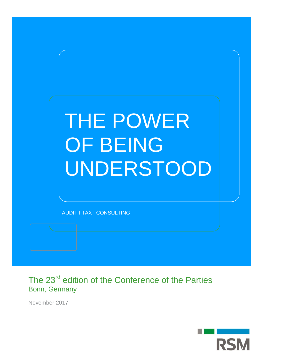

The 23<sup>rd</sup> edition of the Conference of the Parties Bonn, Germany

November 2017

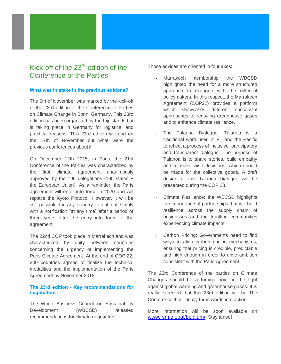# Kick-off of the  $23<sup>rd</sup>$  edition of the Conference of the Parties

# **What was in stake in the previous editions?**

The 6th of November was marked by the kick-off of the 23rd edition of the Conference of Parties on Climate Change in Bonn, Germany. This 23rd edition has been organized by the Fiji Islands but is taking place in Germany for logistical and practical reasons. This 23rd edition will end on the 17th of November but what were the previous conferences about?

On December 12th 2015, in Paris, the 21st Conference of the Parties was characterized by the first climate agreement unanimously approved by the 196 delegations (195 states + the European Union). As a reminder, the Paris agreement will enter into force in 2020 and will replace the Kyoto Protocol. However, it will be still possible for any country to opt out simply with a notification "at any time" after a period of three years after the entry into force of the agreement.

The 22nd COP took place in Marrakech and was characterized by unity between countries concerning the urgency of implementing the Paris Climate Agreement. At the end of COP 22, 200 countries agreed to finalize the technical modalities and the implementation of the Paris Agreement by November 2018.

# **The 23rd edition - Key recommendations for negotiators**

The World Business Council on Sustainability Development (WBCSD) released recommendations for climate negotiators.

Those advices are oriented in four axes:

- Marrakech membership: the WBCSD highlighted the need for a more structured approach to dialogue with the different policymakers. In this respect, the Marrakech Agreement (COP22) provides a platform which showcases different successful approaches to reducing greenhouse gases and to enhance climate resilience.
- The Talaona Dialogue: Talanoa is a traditional word used in Fiji and the Pacific to reflect a process of inclusive, participatory and transparent dialogue. The purpose of Talanoa is to share stories, build empathy and to make wise decisions, which should be made for the collective goods. A draft design of this Talaona Dialogue will be presented during the COP 23.
- Climate Resilience: the WBCSD highlights the importance of partnerships that will build resilience across the supply chain of businesses and the frontline communities experiencing climate impacts.
- Carbon Pricing: Governments need to find ways to align carbon pricing mechanisms, ensuring that pricing is credible, predictable and high enough in order to drive ambition consistent with the Paris Agreement.

The 23rd Conference of the parties on Climate Changes should be a turning point in the fight against global warming and greenhouse gases. It is really expected that this 23rd edition will be The Conference that finally turns words into action.

More information will be soon available on [www.rsm.global/belgium/.](http://www.rsm.global/belgium/) Stay tuned!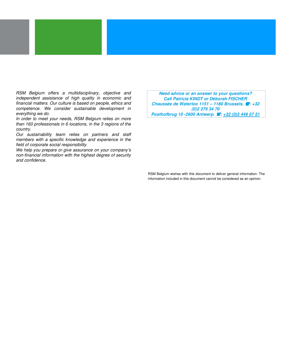RSM Belgium offers a multidisciplinary, objective and independent assistance of high quality in economic and financial matters. Our culture is based on people, ethics and competence. We consider sustainable development in everything we do.

In order to meet your needs, RSM Belgium relies on more than 160 professionals in 6 locations, in the 3 regions of the country.

Our sustainability team relies on partners and staff members with a specific knowledge and experience in the field of corporate social responsibility.

We help you prepare or give assurance on your company's non-financial information with the highest degree of security and confidence.

**Need advice or an answer to your questions? Call Patricia KINDT or Déborah FISCHER Chaussée de Waterloo 1151 – 1180 Brussels.**  $\mathbf{\hat{z}}$ **: +32 (0)2 379 34 70 Posthofbrug 10 -2600 Antwerp.**  $\mathbf{F}: +32$  **(0)3 449 57 51** 

RSM Belgium wishes with this document to deliver general information. The information included in this document cannot be considered as an opinion.